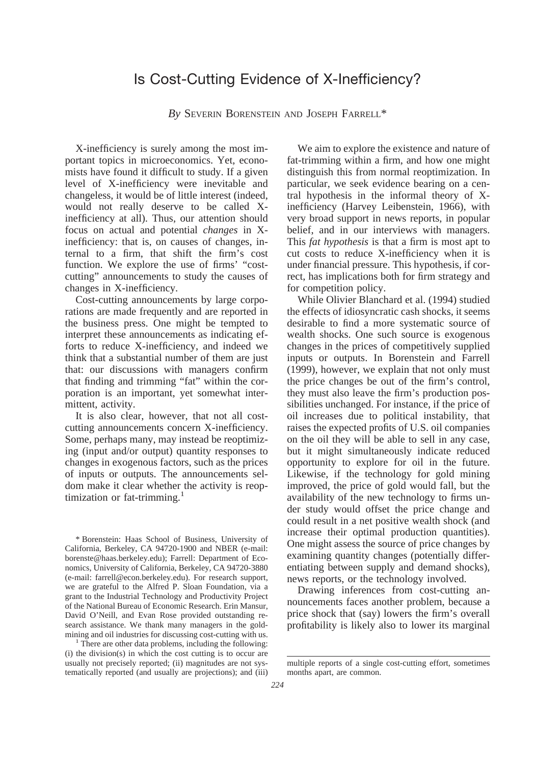# Is Cost-Cutting Evidence of X-Inefficiency?

# *By* SEVERIN BORENSTEIN AND JOSEPH FARRELL\*

X-inefficiency is surely among the most important topics in microeconomics. Yet, economists have found it difficult to study. If a given level of X-inefficiency were inevitable and changeless, it would be of little interest (indeed, would not really deserve to be called Xinefficiency at all). Thus, our attention should focus on actual and potential *changes* in Xinefficiency: that is, on causes of changes, internal to a firm, that shift the firm's cost function. We explore the use of firms' "costcutting" announcements to study the causes of changes in X-inefficiency.

Cost-cutting announcements by large corporations are made frequently and are reported in the business press. One might be tempted to interpret these announcements as indicating efforts to reduce X-inefficiency, and indeed we think that a substantial number of them are just that: our discussions with managers confirm that finding and trimming "fat" within the corporation is an important, yet somewhat intermittent, activity.

It is also clear, however, that not all costcutting announcements concern X-inefficiency. Some, perhaps many, may instead be reoptimizing (input and/or output) quantity responses to changes in exogenous factors, such as the prices of inputs or outputs. The announcements seldom make it clear whether the activity is reoptimization or fat-trimming.<sup>1</sup>

\* Borenstein: Haas School of Business, University of California, Berkeley, CA 94720-1900 and NBER (e-mail: borenste@haas.berkeley.edu); Farrell: Department of Economics, University of California, Berkeley, CA 94720-3880 (e-mail: farrell@econ.berkeley.edu). For research support, we are grateful to the Alfred P. Sloan Foundation, via a grant to the Industrial Technology and Productivity Project of the National Bureau of Economic Research. Erin Mansur, David O'Neill, and Evan Rose provided outstanding research assistance. We thank many managers in the goldmining and oil industries for discussing cost-cutting with us.<br><sup>1</sup> There are other data problems, including the following:

(i) the division(s) in which the cost cutting is to occur are usually not precisely reported; (ii) magnitudes are not systematically reported (and usually are projections); and (iii)

We aim to explore the existence and nature of fat-trimming within a firm, and how one might distinguish this from normal reoptimization. In particular, we seek evidence bearing on a central hypothesis in the informal theory of Xinefficiency (Harvey Leibenstein, 1966), with very broad support in news reports, in popular belief, and in our interviews with managers. This *fat hypothesis* is that a firm is most apt to cut costs to reduce X-inefficiency when it is under financial pressure. This hypothesis, if correct, has implications both for firm strategy and for competition policy.

While Olivier Blanchard et al. (1994) studied the effects of idiosyncratic cash shocks, it seems desirable to find a more systematic source of wealth shocks. One such source is exogenous changes in the prices of competitively supplied inputs or outputs. In Borenstein and Farrell (1999), however, we explain that not only must the price changes be out of the firm's control, they must also leave the firm's production possibilities unchanged. For instance, if the price of oil increases due to political instability, that raises the expected profits of U.S. oil companies on the oil they will be able to sell in any case, but it might simultaneously indicate reduced opportunity to explore for oil in the future. Likewise, if the technology for gold mining improved, the price of gold would fall, but the availability of the new technology to firms under study would offset the price change and could result in a net positive wealth shock (and increase their optimal production quantities). One might assess the source of price changes by examining quantity changes (potentially differentiating between supply and demand shocks), news reports, or the technology involved.

Drawing inferences from cost-cutting announcements faces another problem, because a price shock that (say) lowers the firm's overall profitability is likely also to lower its marginal

multiple reports of a single cost-cutting effort, sometimes months apart, are common.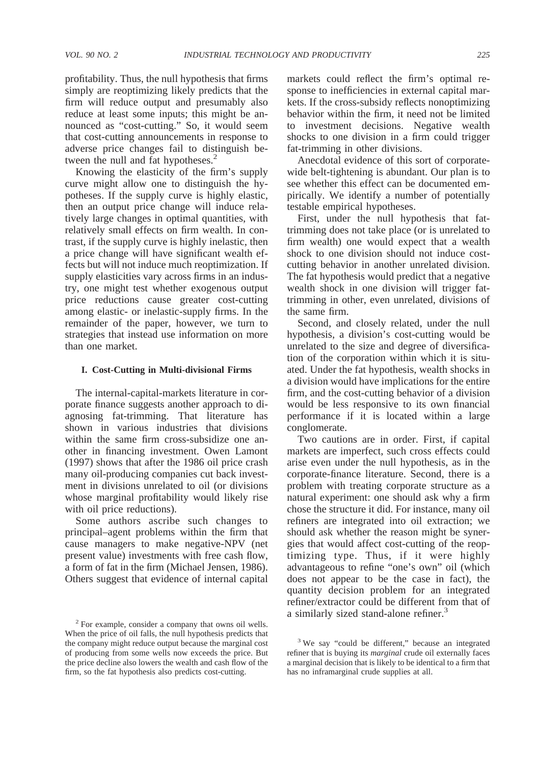profitability. Thus, the null hypothesis that firms simply are reoptimizing likely predicts that the firm will reduce output and presumably also reduce at least some inputs; this might be announced as "cost-cutting." So, it would seem that cost-cutting announcements in response to adverse price changes fail to distinguish between the null and fat hypotheses.<sup>2</sup>

Knowing the elasticity of the firm's supply curve might allow one to distinguish the hypotheses. If the supply curve is highly elastic, then an output price change will induce relatively large changes in optimal quantities, with relatively small effects on firm wealth. In contrast, if the supply curve is highly inelastic, then a price change will have significant wealth effects but will not induce much reoptimization. If supply elasticities vary across firms in an industry, one might test whether exogenous output price reductions cause greater cost-cutting among elastic- or inelastic-supply firms. In the remainder of the paper, however, we turn to strategies that instead use information on more than one market.

#### **I. Cost-Cutting in Multi-divisional Firms**

The internal-capital-markets literature in corporate finance suggests another approach to diagnosing fat-trimming. That literature has shown in various industries that divisions within the same firm cross-subsidize one another in financing investment. Owen Lamont (1997) shows that after the 1986 oil price crash many oil-producing companies cut back investment in divisions unrelated to oil (or divisions whose marginal profitability would likely rise with oil price reductions).

Some authors ascribe such changes to principal–agent problems within the firm that cause managers to make negative-NPV (net present value) investments with free cash flow, a form of fat in the firm (Michael Jensen, 1986). Others suggest that evidence of internal capital

markets could reflect the firm's optimal response to inefficiencies in external capital markets. If the cross-subsidy reflects nonoptimizing behavior within the firm, it need not be limited to investment decisions. Negative wealth shocks to one division in a firm could trigger fat-trimming in other divisions.

Anecdotal evidence of this sort of corporatewide belt-tightening is abundant. Our plan is to see whether this effect can be documented empirically. We identify a number of potentially testable empirical hypotheses.

First, under the null hypothesis that fattrimming does not take place (or is unrelated to firm wealth) one would expect that a wealth shock to one division should not induce costcutting behavior in another unrelated division. The fat hypothesis would predict that a negative wealth shock in one division will trigger fattrimming in other, even unrelated, divisions of the same firm.

Second, and closely related, under the null hypothesis, a division's cost-cutting would be unrelated to the size and degree of diversification of the corporation within which it is situated. Under the fat hypothesis, wealth shocks in a division would have implications for the entire firm, and the cost-cutting behavior of a division would be less responsive to its own financial performance if it is located within a large conglomerate.

Two cautions are in order. First, if capital markets are imperfect, such cross effects could arise even under the null hypothesis, as in the corporate-finance literature. Second, there is a problem with treating corporate structure as a natural experiment: one should ask why a firm chose the structure it did. For instance, many oil refiners are integrated into oil extraction; we should ask whether the reason might be synergies that would affect cost-cutting of the reoptimizing type. Thus, if it were highly advantageous to refine "one's own" oil (which does not appear to be the case in fact), the quantity decision problem for an integrated refiner/extractor could be different from that of a similarly sized stand-alone refiner.<sup>3</sup>

<sup>2</sup> For example, consider a company that owns oil wells. When the price of oil falls, the null hypothesis predicts that the company might reduce output because the marginal cost of producing from some wells now exceeds the price. But the price decline also lowers the wealth and cash flow of the firm, so the fat hypothesis also predicts cost-cutting.

<sup>&</sup>lt;sup>3</sup> We say "could be different," because an integrated refiner that is buying its *marginal* crude oil externally faces a marginal decision that is likely to be identical to a firm that has no inframarginal crude supplies at all.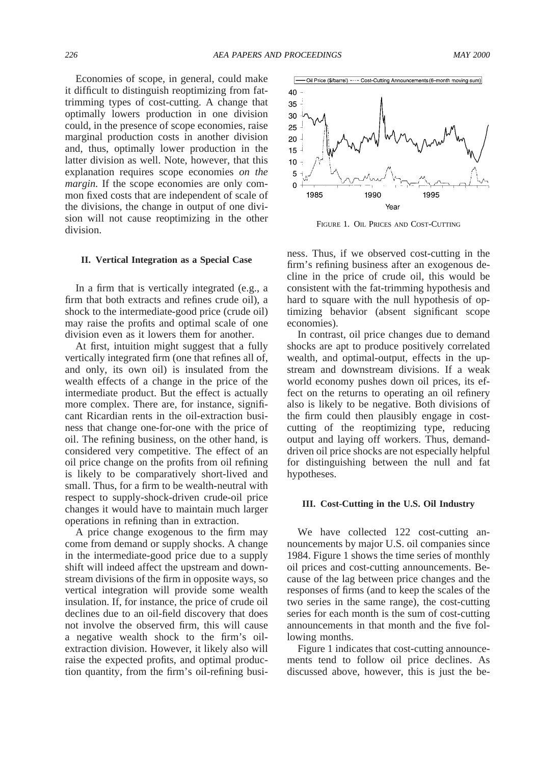Economies of scope, in general, could make it difficult to distinguish reoptimizing from fattrimming types of cost-cutting. A change that optimally lowers production in one division could, in the presence of scope economies, raise marginal production costs in another division and, thus, optimally lower production in the latter division as well. Note, however, that this explanation requires scope economies *on the margin*. If the scope economies are only common fixed costs that are independent of scale of the divisions, the change in output of one division will not cause reoptimizing in the other division.

#### **II. Vertical Integration as a Special Case**

In a firm that is vertically integrated (e.g., a firm that both extracts and refines crude oil), a shock to the intermediate-good price (crude oil) may raise the profits and optimal scale of one division even as it lowers them for another.

At first, intuition might suggest that a fully vertically integrated firm (one that refines all of, and only, its own oil) is insulated from the wealth effects of a change in the price of the intermediate product. But the effect is actually more complex. There are, for instance, significant Ricardian rents in the oil-extraction business that change one-for-one with the price of oil. The refining business, on the other hand, is considered very competitive. The effect of an oil price change on the profits from oil refining is likely to be comparatively short-lived and small. Thus, for a firm to be wealth-neutral with respect to supply-shock-driven crude-oil price changes it would have to maintain much larger operations in refining than in extraction.

A price change exogenous to the firm may come from demand or supply shocks. A change in the intermediate-good price due to a supply shift will indeed affect the upstream and downstream divisions of the firm in opposite ways, so vertical integration will provide some wealth insulation. If, for instance, the price of crude oil declines due to an oil-field discovery that does not involve the observed firm, this will cause a negative wealth shock to the firm's oilextraction division. However, it likely also will raise the expected profits, and optimal production quantity, from the firm's oil-refining busi-



FIGURE 1. OIL PRICES AND COST-CUTTING

ness. Thus, if we observed cost-cutting in the firm's refining business after an exogenous decline in the price of crude oil, this would be consistent with the fat-trimming hypothesis and hard to square with the null hypothesis of optimizing behavior (absent significant scope economies).

In contrast, oil price changes due to demand shocks are apt to produce positively correlated wealth, and optimal-output, effects in the upstream and downstream divisions. If a weak world economy pushes down oil prices, its effect on the returns to operating an oil refinery also is likely to be negative. Both divisions of the firm could then plausibly engage in costcutting of the reoptimizing type, reducing output and laying off workers. Thus, demanddriven oil price shocks are not especially helpful for distinguishing between the null and fat hypotheses.

#### **III. Cost-Cutting in the U.S. Oil Industry**

We have collected 122 cost-cutting announcements by major U.S. oil companies since 1984. Figure 1 shows the time series of monthly oil prices and cost-cutting announcements. Because of the lag between price changes and the responses of firms (and to keep the scales of the two series in the same range), the cost-cutting series for each month is the sum of cost-cutting announcements in that month and the five following months.

Figure 1 indicates that cost-cutting announcements tend to follow oil price declines. As discussed above, however, this is just the be-